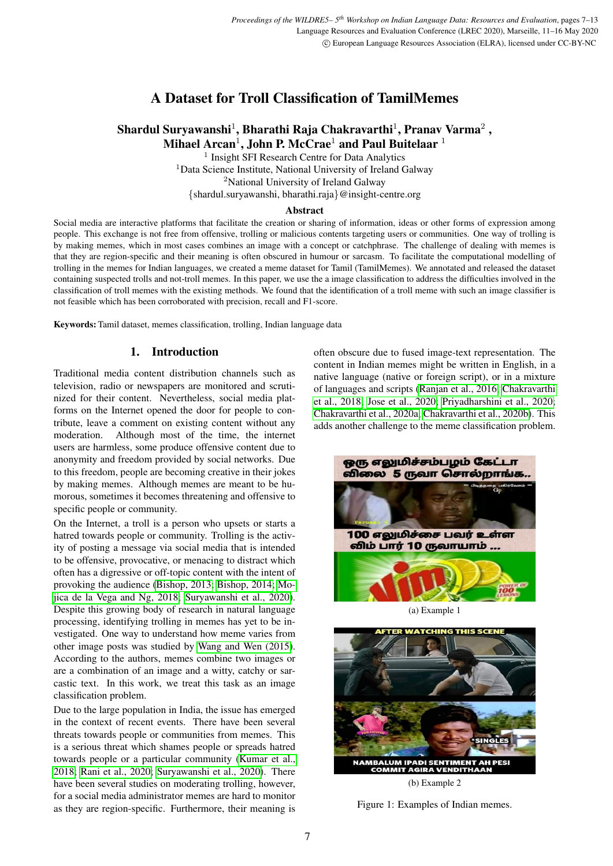# A Dataset for Troll Classification of TamilMemes

# Shardul Suryawanshi $^1$ , Bharathi Raja Chakravarthi $^1$ , Pranav Varma $^2$  , Mihael Arcan $^1$ , John P. McCrae $^1$  and Paul Buitelaar  $^1$

<sup>1</sup> Insight SFI Research Centre for Data Analytics <sup>1</sup>Data Science Institute, National University of Ireland Galway <sup>2</sup>National University of Ireland Galway {shardul.suryawanshi, bharathi.raja}@insight-centre.org

#### Abstract

Social media are interactive platforms that facilitate the creation or sharing of information, ideas or other forms of expression among people. This exchange is not free from offensive, trolling or malicious contents targeting users or communities. One way of trolling is by making memes, which in most cases combines an image with a concept or catchphrase. The challenge of dealing with memes is that they are region-specific and their meaning is often obscured in humour or sarcasm. To facilitate the computational modelling of trolling in the memes for Indian languages, we created a meme dataset for Tamil (TamilMemes). We annotated and released the dataset containing suspected trolls and not-troll memes. In this paper, we use the a image classification to address the difficulties involved in the classification of troll memes with the existing methods. We found that the identification of a troll meme with such an image classifier is not feasible which has been corroborated with precision, recall and F1-score.

Keywords: Tamil dataset, memes classification, trolling, Indian language data

# 1. Introduction

Traditional media content distribution channels such as television, radio or newspapers are monitored and scrutinized for their content. Nevertheless, social media platforms on the Internet opened the door for people to contribute, leave a comment on existing content without any moderation. Although most of the time, the internet users are harmless, some produce offensive content due to anonymity and freedom provided by social networks. Due to this freedom, people are becoming creative in their jokes by making memes. Although memes are meant to be humorous, sometimes it becomes threatening and offensive to specific people or community.

On the Internet, a troll is a person who upsets or starts a hatred towards people or community. Trolling is the activity of posting a message via social media that is intended to be offensive, provocative, or menacing to distract which often has a digressive or off-topic content with the intent of provoking the audience [\(Bishop, 2013;](#page-4-0) [Bishop, 2014;](#page-5-0) [Mo](#page-6-0)[jica de la Vega and Ng, 2018;](#page-6-0) [Suryawanshi et al., 2020\)](#page-6-1). Despite this growing body of research in natural language processing, identifying trolling in memes has yet to be investigated. One way to understand how meme varies from other image posts was studied by [Wang and Wen \(2015\)](#page-6-2). According to the authors, memes combine two images or are a combination of an image and a witty, catchy or sarcastic text. In this work, we treat this task as an image classification problem.

Due to the large population in India, the issue has emerged in the context of recent events. There have been several threats towards people or communities from memes. This is a serious threat which shames people or spreads hatred towards people or a particular community [\(Kumar et al.,](#page-5-1) [2018;](#page-5-1) [Rani et al., 2020;](#page-6-3) [Suryawanshi et al., 2020\)](#page-6-1). There have been several studies on moderating trolling, however, for a social media administrator memes are hard to monitor as they are region-specific. Furthermore, their meaning is often obscure due to fused image-text representation. The content in Indian memes might be written in English, in a native language (native or foreign script), or in a mixture of languages and scripts [\(Ranjan et al., 2016;](#page-6-4) [Chakravarthi](#page-5-2) [et al., 2018;](#page-5-2) [Jose et al., 2020;](#page-5-3) [Priyadharshini et al., 2020;](#page-6-5) [Chakravarthi et al., 2020a;](#page-5-4) [Chakravarthi et al., 2020b\)](#page-5-5). This adds another challenge to the meme classification problem.

<span id="page-0-0"></span>

(b) Example 2

Figure 1: Examples of Indian memes.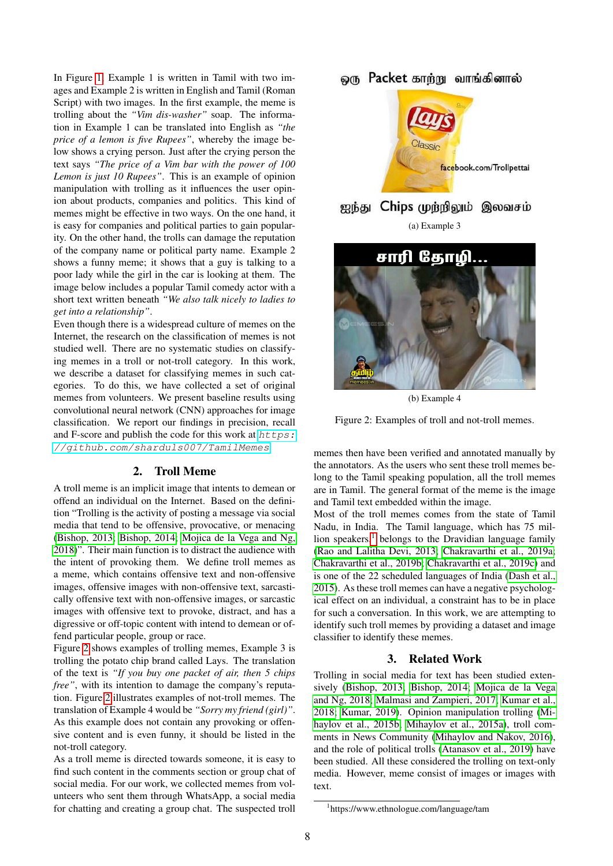In Figure [1,](#page-0-0) Example 1 is written in Tamil with two images and Example 2 is written in English and Tamil (Roman Script) with two images. In the first example, the meme is trolling about the *"Vim dis-washer"* soap. The information in Example 1 can be translated into English as *"the price of a lemon is five Rupees"*, whereby the image below shows a crying person. Just after the crying person the text says *"The price of a Vim bar with the power of 100 Lemon is just 10 Rupees"*. This is an example of opinion manipulation with trolling as it influences the user opinion about products, companies and politics. This kind of memes might be effective in two ways. On the one hand, it is easy for companies and political parties to gain popularity. On the other hand, the trolls can damage the reputation of the company name or political party name. Example 2 shows a funny meme; it shows that a guy is talking to a poor lady while the girl in the car is looking at them. The image below includes a popular Tamil comedy actor with a short text written beneath *"We also talk nicely to ladies to get into a relationship"*.

Even though there is a widespread culture of memes on the Internet, the research on the classification of memes is not studied well. There are no systematic studies on classifying memes in a troll or not-troll category. In this work, we describe a dataset for classifying memes in such categories. To do this, we have collected a set of original memes from volunteers. We present baseline results using convolutional neural network (CNN) approaches for image classification. We report our findings in precision, recall and F-score and publish the code for this work at  $https:$ [//github.com/sharduls007/TamilMemes](https://github.com/sharduls007/TamilMemes).

# 2. Troll Meme

A troll meme is an implicit image that intents to demean or offend an individual on the Internet. Based on the definition "Trolling is the activity of posting a message via social media that tend to be offensive, provocative, or menacing [\(Bishop, 2013;](#page-4-0) [Bishop, 2014;](#page-5-0) [Mojica de la Vega and Ng,](#page-6-0) [2018\)](#page-6-0)". Their main function is to distract the audience with the intent of provoking them. We define troll memes as a meme, which contains offensive text and non-offensive images, offensive images with non-offensive text, sarcastically offensive text with non-offensive images, or sarcastic images with offensive text to provoke, distract, and has a digressive or off-topic content with intend to demean or offend particular people, group or race.

Figure [2](#page-1-0) shows examples of trolling memes, Example 3 is trolling the potato chip brand called Lays. The translation of the text is *"If you buy one packet of air, then 5 chips free"*, with its intention to damage the company's reputation. Figure [2](#page-1-0) illustrates examples of not-troll memes. The translation of Example 4 would be *"Sorry my friend (girl)"*. As this example does not contain any provoking or offensive content and is even funny, it should be listed in the not-troll category.

As a troll meme is directed towards someone, it is easy to find such content in the comments section or group chat of social media. For our work, we collected memes from volunteers who sent them through WhatsApp, a social media for chatting and creating a group chat. The suspected troll

# <span id="page-1-0"></span>ஒரு Packet காற்று வாங்கினால்





(b) Example 4

Figure 2: Examples of troll and not-troll memes.

memes then have been verified and annotated manually by the annotators. As the users who sent these troll memes belong to the Tamil speaking population, all the troll memes are in Tamil. The general format of the meme is the image and Tamil text embedded within the image.

Most of the troll memes comes from the state of Tamil Nadu, in India. The Tamil language, which has 75 million speakers, $<sup>1</sup>$  $<sup>1</sup>$  $<sup>1</sup>$  belongs to the Dravidian language family</sup> [\(Rao and Lalitha Devi, 2013;](#page-6-6) [Chakravarthi et al., 2019a;](#page-5-6) [Chakravarthi et al., 2019b;](#page-5-7) [Chakravarthi et al., 2019c\)](#page-5-8) and is one of the 22 scheduled languages of India [\(Dash et al.,](#page-5-9) [2015\)](#page-5-9). As these troll memes can have a negative psychological effect on an individual, a constraint has to be in place for such a conversation. In this work, we are attempting to identify such troll memes by providing a dataset and image classifier to identify these memes.

# 3. Related Work

Trolling in social media for text has been studied extensively [\(Bishop, 2013;](#page-4-0) [Bishop, 2014;](#page-5-0) [Mojica de la Vega](#page-6-0) [and Ng, 2018;](#page-6-0) [Malmasi and Zampieri, 2017;](#page-6-7) [Kumar et al.,](#page-5-1) [2018;](#page-5-1) [Kumar, 2019\)](#page-5-10). Opinion manipulation trolling [\(Mi](#page-6-8)[haylov et al., 2015b;](#page-6-8) [Mihaylov et al., 2015a\)](#page-6-9), troll comments in News Community [\(Mihaylov and Nakov, 2016\)](#page-6-10), and the role of political trolls [\(Atanasov et al., 2019\)](#page-4-1) have been studied. All these considered the trolling on text-only media. However, meme consist of images or images with text.

<span id="page-1-1"></span><sup>1</sup> https://www.ethnologue.com/language/tam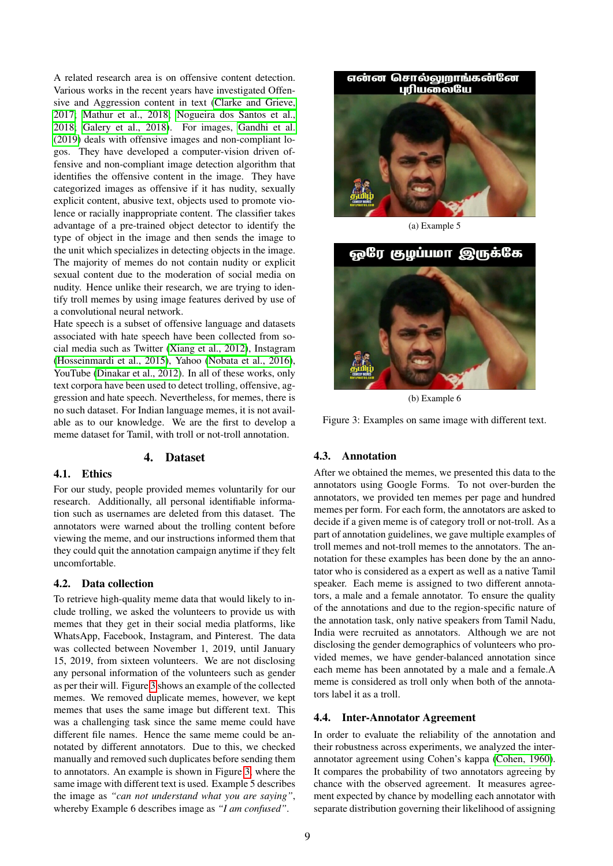A related research area is on offensive content detection. Various works in the recent years have investigated Offensive and Aggression content in text [\(Clarke and Grieve,](#page-5-11) [2017;](#page-5-11) [Mathur et al., 2018;](#page-6-11) [Nogueira dos Santos et al.,](#page-6-12) [2018;](#page-6-12) [Galery et al., 2018\)](#page-5-12). For images, [Gandhi et al.](#page-5-13) [\(2019\)](#page-5-13) deals with offensive images and non-compliant logos. They have developed a computer-vision driven offensive and non-compliant image detection algorithm that identifies the offensive content in the image. They have categorized images as offensive if it has nudity, sexually explicit content, abusive text, objects used to promote violence or racially inappropriate content. The classifier takes advantage of a pre-trained object detector to identify the type of object in the image and then sends the image to the unit which specializes in detecting objects in the image. The majority of memes do not contain nudity or explicit sexual content due to the moderation of social media on nudity. Hence unlike their research, we are trying to identify troll memes by using image features derived by use of a convolutional neural network.

Hate speech is a subset of offensive language and datasets associated with hate speech have been collected from social media such as Twitter [\(Xiang et al., 2012\)](#page-6-13), Instagram [\(Hosseinmardi et al., 2015\)](#page-5-14), Yahoo [\(Nobata et al., 2016\)](#page-6-14), YouTube [\(Dinakar et al., 2012\)](#page-5-15). In all of these works, only text corpora have been used to detect trolling, offensive, aggression and hate speech. Nevertheless, for memes, there is no such dataset. For Indian language memes, it is not available as to our knowledge. We are the first to develop a meme dataset for Tamil, with troll or not-troll annotation.

#### 4. Dataset

### 4.1. Ethics

For our study, people provided memes voluntarily for our research. Additionally, all personal identifiable information such as usernames are deleted from this dataset. The annotators were warned about the trolling content before viewing the meme, and our instructions informed them that they could quit the annotation campaign anytime if they felt uncomfortable.

### 4.2. Data collection

To retrieve high-quality meme data that would likely to include trolling, we asked the volunteers to provide us with memes that they get in their social media platforms, like WhatsApp, Facebook, Instagram, and Pinterest. The data was collected between November 1, 2019, until January 15, 2019, from sixteen volunteers. We are not disclosing any personal information of the volunteers such as gender as per their will. Figure [3](#page-2-0) shows an example of the collected memes. We removed duplicate memes, however, we kept memes that uses the same image but different text. This was a challenging task since the same meme could have different file names. Hence the same meme could be annotated by different annotators. Due to this, we checked manually and removed such duplicates before sending them to annotators. An example is shown in Figure [3,](#page-2-0) where the same image with different text is used. Example 5 describes the image as *"can not understand what you are saying"*, whereby Example 6 describes image as *"I am confused"*.

<span id="page-2-0"></span>

(a) Example 5



(b) Example 6

Figure 3: Examples on same image with different text.

# 4.3. Annotation

After we obtained the memes, we presented this data to the annotators using Google Forms. To not over-burden the annotators, we provided ten memes per page and hundred memes per form. For each form, the annotators are asked to decide if a given meme is of category troll or not-troll. As a part of annotation guidelines, we gave multiple examples of troll memes and not-troll memes to the annotators. The annotation for these examples has been done by the an annotator who is considered as a expert as well as a native Tamil speaker. Each meme is assigned to two different annotators, a male and a female annotator. To ensure the quality of the annotations and due to the region-specific nature of the annotation task, only native speakers from Tamil Nadu, India were recruited as annotators. Although we are not disclosing the gender demographics of volunteers who provided memes, we have gender-balanced annotation since each meme has been annotated by a male and a female.A meme is considered as troll only when both of the annotators label it as a troll.

#### 4.4. Inter-Annotator Agreement

In order to evaluate the reliability of the annotation and their robustness across experiments, we analyzed the interannotator agreement using Cohen's kappa [\(Cohen, 1960\)](#page-5-16). It compares the probability of two annotators agreeing by chance with the observed agreement. It measures agreement expected by chance by modelling each annotator with separate distribution governing their likelihood of assigning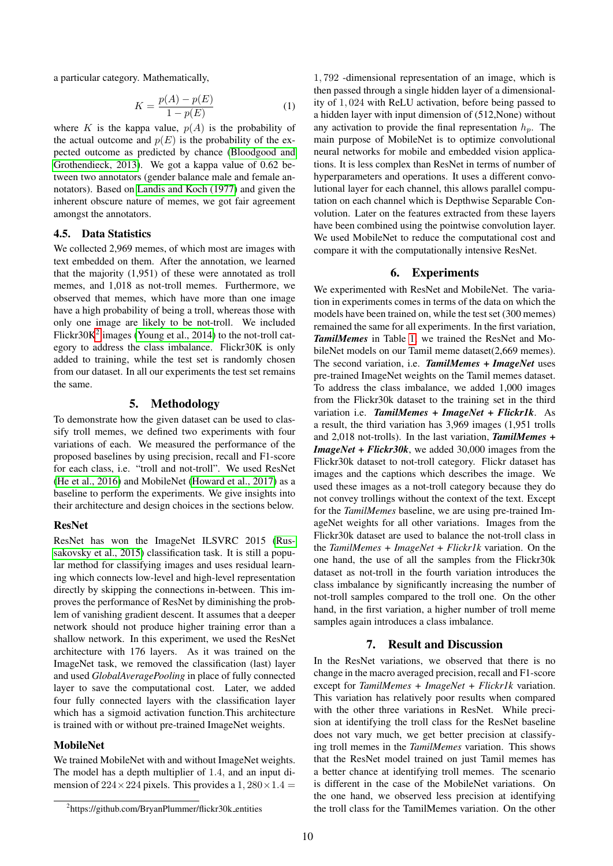a particular category. Mathematically,

$$
K = \frac{p(A) - p(E)}{1 - p(E)}
$$
 (1)

where K is the kappa value,  $p(A)$  is the probability of the actual outcome and  $p(E)$  is the probability of the expected outcome as predicted by chance [\(Bloodgood and](#page-5-17) [Grothendieck, 2013\)](#page-5-17). We got a kappa value of 0.62 between two annotators (gender balance male and female annotators). Based on [Landis and Koch \(1977\)](#page-5-18) and given the inherent obscure nature of memes, we got fair agreement amongst the annotators.

# 4.5. Data Statistics

We collected 2,969 memes, of which most are images with text embedded on them. After the annotation, we learned that the majority (1,951) of these were annotated as troll memes, and 1,018 as not-troll memes. Furthermore, we observed that memes, which have more than one image have a high probability of being a troll, whereas those with only one image are likely to be not-troll. We included Flickr $30K^2$  $30K^2$  images [\(Young et al., 2014\)](#page-6-15) to the not-troll category to address the class imbalance. Flickr30K is only added to training, while the test set is randomly chosen from our dataset. In all our experiments the test set remains the same.

# 5. Methodology

To demonstrate how the given dataset can be used to classify troll memes, we defined two experiments with four variations of each. We measured the performance of the proposed baselines by using precision, recall and F1-score for each class, i.e. "troll and not-troll". We used ResNet [\(He et al., 2016\)](#page-5-19) and MobileNet [\(Howard et al., 2017\)](#page-5-20) as a baseline to perform the experiments. We give insights into their architecture and design choices in the sections below.

#### ResNet

ResNet has won the ImageNet ILSVRC 2015 [\(Rus](#page-6-16)[sakovsky et al., 2015\)](#page-6-16) classification task. It is still a popular method for classifying images and uses residual learning which connects low-level and high-level representation directly by skipping the connections in-between. This improves the performance of ResNet by diminishing the problem of vanishing gradient descent. It assumes that a deeper network should not produce higher training error than a shallow network. In this experiment, we used the ResNet architecture with 176 layers. As it was trained on the ImageNet task, we removed the classification (last) layer and used *GlobalAveragePooling* in place of fully connected layer to save the computational cost. Later, we added four fully connected layers with the classification layer which has a sigmoid activation function.This architecture is trained with or without pre-trained ImageNet weights.

#### MobileNet

We trained MobileNet with and without ImageNet weights. The model has a depth multiplier of 1.4, and an input dimension of  $224 \times 224$  pixels. This provides a  $1,280 \times 1.4 =$ 

1, 792 -dimensional representation of an image, which is then passed through a single hidden layer of a dimensionality of 1, 024 with ReLU activation, before being passed to a hidden layer with input dimension of (512,None) without any activation to provide the final representation  $h_n$ . The main purpose of MobileNet is to optimize convolutional neural networks for mobile and embedded vision applications. It is less complex than ResNet in terms of number of hyperparameters and operations. It uses a different convolutional layer for each channel, this allows parallel computation on each channel which is Depthwise Separable Convolution. Later on the features extracted from these layers have been combined using the pointwise convolution layer. We used MobileNet to reduce the computational cost and compare it with the computationally intensive ResNet.

#### 6. Experiments

We experimented with ResNet and MobileNet. The variation in experiments comes in terms of the data on which the models have been trained on, while the test set (300 memes) remained the same for all experiments. In the first variation, *TamilMemes* in Table [1,](#page-4-2) we trained the ResNet and MobileNet models on our Tamil meme dataset(2,669 memes). The second variation, i.e. *TamilMemes + ImageNet* uses pre-trained ImageNet weights on the Tamil memes dataset. To address the class imbalance, we added 1,000 images from the Flickr30k dataset to the training set in the third variation i.e. *TamilMemes + ImageNet + Flickr1k*. As a result, the third variation has 3,969 images (1,951 trolls and 2,018 not-trolls). In the last variation, *TamilMemes + ImageNet + Flickr30k*, we added 30,000 images from the Flickr30k dataset to not-troll category. Flickr dataset has images and the captions which describes the image. We used these images as a not-troll category because they do not convey trollings without the context of the text. Except for the *TamilMemes* baseline, we are using pre-trained ImageNet weights for all other variations. Images from the Flickr30k dataset are used to balance the not-troll class in the *TamilMemes + ImageNet + Flickr1k* variation. On the one hand, the use of all the samples from the Flickr30k dataset as not-troll in the fourth variation introduces the class imbalance by significantly increasing the number of not-troll samples compared to the troll one. On the other hand, in the first variation, a higher number of troll meme samples again introduces a class imbalance.

#### 7. Result and Discussion

In the ResNet variations, we observed that there is no change in the macro averaged precision, recall and F1-score except for *TamilMemes + ImageNet + Flickr1k* variation. This variation has relatively poor results when compared with the other three variations in ResNet. While precision at identifying the troll class for the ResNet baseline does not vary much, we get better precision at classifying troll memes in the *TamilMemes* variation. This shows that the ResNet model trained on just Tamil memes has a better chance at identifying troll memes. The scenario is different in the case of the MobileNet variations. On the one hand, we observed less precision at identifying the troll class for the TamilMemes variation. On the other

<span id="page-3-0"></span><sup>&</sup>lt;sup>2</sup>https://github.com/BryanPlummer/flickr30k\_entities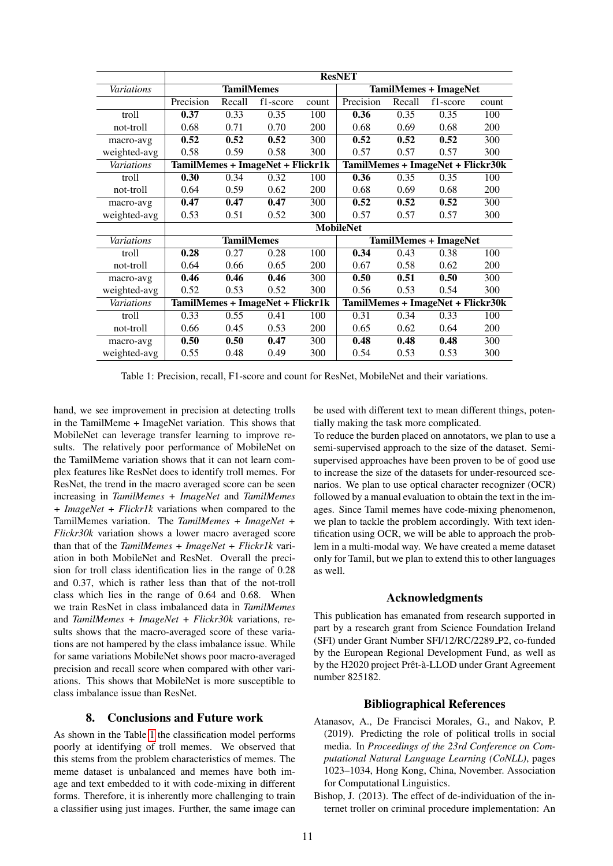<span id="page-4-2"></span>

|                   | <b>ResNET</b>                    |        |          |       |                                   |        |          |       |
|-------------------|----------------------------------|--------|----------|-------|-----------------------------------|--------|----------|-------|
| Variations        | <b>TamilMemes</b>                |        |          |       | <b>TamilMemes + ImageNet</b>      |        |          |       |
|                   | Precision                        | Recall | f1-score | count | Precision                         | Recall | f1-score | count |
| troll             | 0.37                             | 0.33   | 0.35     | 100   | 0.36                              | 0.35   | 0.35     | 100   |
| not-troll         | 0.68                             | 0.71   | 0.70     | 200   | 0.68                              | 0.69   | 0.68     | 200   |
| macro-avg         | 0.52                             | 0.52   | 0.52     | 300   | 0.52                              | 0.52   | 0.52     | 300   |
| weighted-avg      | 0.58                             | 0.59   | 0.58     | 300   | 0.57                              | 0.57   | 0.57     | 300   |
| Variations        | TamilMemes + ImageNet + Flickr1k |        |          |       | TamilMemes + ImageNet + Flickr30k |        |          |       |
| troll             | 0.30                             | 0.34   | 0.32     | 100   | 0.36                              | 0.35   | 0.35     | 100   |
| not-troll         | 0.64                             | 0.59   | 0.62     | 200   | 0.68                              | 0.69   | 0.68     | 200   |
| macro-avg         | 0.47                             | 0.47   | 0.47     | 300   | 0.52                              | 0.52   | 0.52     | 300   |
| weighted-avg      | 0.53                             | 0.51   | 0.52     | 300   | 0.57                              | 0.57   | 0.57     | 300   |
|                   | <b>MobileNet</b>                 |        |          |       |                                   |        |          |       |
| <b>Variations</b> | <b>TamilMemes</b>                |        |          |       | <b>TamilMemes + ImageNet</b>      |        |          |       |
| troll             | 0.28                             | 0.27   | 0.28     | 100   | 0.34                              | 0.43   | 0.38     | 100   |
| not-troll         | 0.64                             | 0.66   | 0.65     | 200   | 0.67                              | 0.58   | 0.62     | 200   |
| macro-avg         | 0.46                             | 0.46   | 0.46     | 300   | 0.50                              | 0.51   | 0.50     | 300   |
| weighted-avg      | 0.52                             | 0.53   | 0.52     | 300   | 0.56                              | 0.53   | 0.54     | 300   |
| <b>Variations</b> | TamilMemes + ImageNet + Flickr1k |        |          |       | TamilMemes + ImageNet + Flickr30k |        |          |       |
| troll             | 0.33                             | 0.55   | 0.41     | 100   | 0.31                              | 0.34   | 0.33     | 100   |
| not-troll         | 0.66                             | 0.45   | 0.53     | 200   | 0.65                              | 0.62   | 0.64     | 200   |
| macro-avg         | 0.50                             | 0.50   | 0.47     | 300   | 0.48                              | 0.48   | 0.48     | 300   |
| weighted-avg      | 0.55                             | 0.48   | 0.49     | 300   | 0.54                              | 0.53   | 0.53     | 300   |

Table 1: Precision, recall, F1-score and count for ResNet, MobileNet and their variations.

hand, we see improvement in precision at detecting trolls in the TamilMeme + ImageNet variation. This shows that MobileNet can leverage transfer learning to improve results. The relatively poor performance of MobileNet on the TamilMeme variation shows that it can not learn complex features like ResNet does to identify troll memes. For ResNet, the trend in the macro averaged score can be seen increasing in *TamilMemes + ImageNet* and *TamilMemes + ImageNet + Flickr1k* variations when compared to the TamilMemes variation. The *TamilMemes + ImageNet + Flickr30k* variation shows a lower macro averaged score than that of the *TamilMemes + ImageNet + Flickr1k* variation in both MobileNet and ResNet. Overall the precision for troll class identification lies in the range of 0.28 and 0.37, which is rather less than that of the not-troll class which lies in the range of 0.64 and 0.68. When we train ResNet in class imbalanced data in *TamilMemes* and *TamilMemes + ImageNet + Flickr30k* variations, results shows that the macro-averaged score of these variations are not hampered by the class imbalance issue. While for same variations MobileNet shows poor macro-averaged precision and recall score when compared with other variations. This shows that MobileNet is more susceptible to class imbalance issue than ResNet.

### 8. Conclusions and Future work

As shown in the Table [1](#page-4-2) the classification model performs poorly at identifying of troll memes. We observed that this stems from the problem characteristics of memes. The meme dataset is unbalanced and memes have both image and text embedded to it with code-mixing in different forms. Therefore, it is inherently more challenging to train a classifier using just images. Further, the same image can be used with different text to mean different things, potentially making the task more complicated.

To reduce the burden placed on annotators, we plan to use a semi-supervised approach to the size of the dataset. Semisupervised approaches have been proven to be of good use to increase the size of the datasets for under-resourced scenarios. We plan to use optical character recognizer (OCR) followed by a manual evaluation to obtain the text in the images. Since Tamil memes have code-mixing phenomenon, we plan to tackle the problem accordingly. With text identification using OCR, we will be able to approach the problem in a multi-modal way. We have created a meme dataset only for Tamil, but we plan to extend this to other languages as well.

#### Acknowledgments

This publication has emanated from research supported in part by a research grant from Science Foundation Ireland (SFI) under Grant Number SFI/12/RC/2289 P2, co-funded by the European Regional Development Fund, as well as by the H2020 project Prêt-à-LLOD under Grant Agreement number 825182.

## Bibliographical References

- <span id="page-4-1"></span>Atanasov, A., De Francisci Morales, G., and Nakov, P. (2019). Predicting the role of political trolls in social media. In *Proceedings of the 23rd Conference on Computational Natural Language Learning (CoNLL)*, pages 1023–1034, Hong Kong, China, November. Association for Computational Linguistics.
- <span id="page-4-0"></span>Bishop, J. (2013). The effect of de-individuation of the internet troller on criminal procedure implementation: An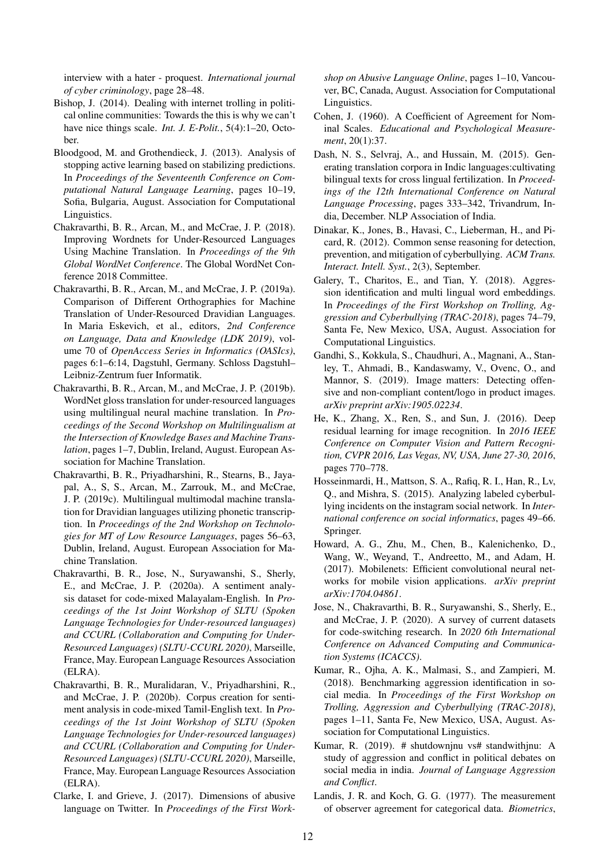interview with a hater - proquest. *International journal of cyber criminology*, page 28–48.

- <span id="page-5-0"></span>Bishop, J. (2014). Dealing with internet trolling in political online communities: Towards the this is why we can't have nice things scale. *Int. J. E-Polit.*, 5(4):1–20, October.
- <span id="page-5-17"></span>Bloodgood, M. and Grothendieck, J. (2013). Analysis of stopping active learning based on stabilizing predictions. In *Proceedings of the Seventeenth Conference on Computational Natural Language Learning*, pages 10–19, Sofia, Bulgaria, August. Association for Computational Linguistics.
- <span id="page-5-2"></span>Chakravarthi, B. R., Arcan, M., and McCrae, J. P. (2018). Improving Wordnets for Under-Resourced Languages Using Machine Translation. In *Proceedings of the 9th Global WordNet Conference*. The Global WordNet Conference 2018 Committee.
- <span id="page-5-6"></span>Chakravarthi, B. R., Arcan, M., and McCrae, J. P. (2019a). Comparison of Different Orthographies for Machine Translation of Under-Resourced Dravidian Languages. In Maria Eskevich, et al., editors, *2nd Conference on Language, Data and Knowledge (LDK 2019)*, volume 70 of *OpenAccess Series in Informatics (OASIcs)*, pages 6:1–6:14, Dagstuhl, Germany. Schloss Dagstuhl– Leibniz-Zentrum fuer Informatik.
- <span id="page-5-7"></span>Chakravarthi, B. R., Arcan, M., and McCrae, J. P. (2019b). WordNet gloss translation for under-resourced languages using multilingual neural machine translation. In *Proceedings of the Second Workshop on Multilingualism at the Intersection of Knowledge Bases and Machine Translation*, pages 1–7, Dublin, Ireland, August. European Association for Machine Translation.
- <span id="page-5-8"></span>Chakravarthi, B. R., Priyadharshini, R., Stearns, B., Jayapal, A., S, S., Arcan, M., Zarrouk, M., and McCrae, J. P. (2019c). Multilingual multimodal machine translation for Dravidian languages utilizing phonetic transcription. In *Proceedings of the 2nd Workshop on Technologies for MT of Low Resource Languages*, pages 56–63, Dublin, Ireland, August. European Association for Machine Translation.
- <span id="page-5-4"></span>Chakravarthi, B. R., Jose, N., Suryawanshi, S., Sherly, E., and McCrae, J. P. (2020a). A sentiment analysis dataset for code-mixed Malayalam-English. In *Proceedings of the 1st Joint Workshop of SLTU (Spoken Language Technologies for Under-resourced languages) and CCURL (Collaboration and Computing for Under-Resourced Languages) (SLTU-CCURL 2020)*, Marseille, France, May. European Language Resources Association (ELRA).
- <span id="page-5-5"></span>Chakravarthi, B. R., Muralidaran, V., Priyadharshini, R., and McCrae, J. P. (2020b). Corpus creation for sentiment analysis in code-mixed Tamil-English text. In *Proceedings of the 1st Joint Workshop of SLTU (Spoken Language Technologies for Under-resourced languages) and CCURL (Collaboration and Computing for Under-Resourced Languages) (SLTU-CCURL 2020)*, Marseille, France, May. European Language Resources Association (ELRA).
- <span id="page-5-11"></span>Clarke, I. and Grieve, J. (2017). Dimensions of abusive language on Twitter. In *Proceedings of the First Work-*

*shop on Abusive Language Online*, pages 1–10, Vancouver, BC, Canada, August. Association for Computational Linguistics.

- <span id="page-5-16"></span>Cohen, J. (1960). A Coefficient of Agreement for Nominal Scales. *Educational and Psychological Measurement*, 20(1):37.
- <span id="page-5-9"></span>Dash, N. S., Selvraj, A., and Hussain, M. (2015). Generating translation corpora in Indic languages:cultivating bilingual texts for cross lingual fertilization. In *Proceedings of the 12th International Conference on Natural Language Processing*, pages 333–342, Trivandrum, India, December. NLP Association of India.
- <span id="page-5-15"></span>Dinakar, K., Jones, B., Havasi, C., Lieberman, H., and Picard, R. (2012). Common sense reasoning for detection, prevention, and mitigation of cyberbullying. *ACM Trans. Interact. Intell. Syst.*, 2(3), September.
- <span id="page-5-12"></span>Galery, T., Charitos, E., and Tian, Y. (2018). Aggression identification and multi lingual word embeddings. In *Proceedings of the First Workshop on Trolling, Aggression and Cyberbullying (TRAC-2018)*, pages 74–79, Santa Fe, New Mexico, USA, August. Association for Computational Linguistics.
- <span id="page-5-13"></span>Gandhi, S., Kokkula, S., Chaudhuri, A., Magnani, A., Stanley, T., Ahmadi, B., Kandaswamy, V., Ovenc, O., and Mannor, S. (2019). Image matters: Detecting offensive and non-compliant content/logo in product images. *arXiv preprint arXiv:1905.02234*.
- <span id="page-5-19"></span>He, K., Zhang, X., Ren, S., and Sun, J. (2016). Deep residual learning for image recognition. In *2016 IEEE Conference on Computer Vision and Pattern Recognition, CVPR 2016, Las Vegas, NV, USA, June 27-30, 2016*, pages 770–778.
- <span id="page-5-14"></span>Hosseinmardi, H., Mattson, S. A., Rafiq, R. I., Han, R., Lv, Q., and Mishra, S. (2015). Analyzing labeled cyberbullying incidents on the instagram social network. In *International conference on social informatics*, pages 49–66. Springer.
- <span id="page-5-20"></span>Howard, A. G., Zhu, M., Chen, B., Kalenichenko, D., Wang, W., Weyand, T., Andreetto, M., and Adam, H. (2017). Mobilenets: Efficient convolutional neural networks for mobile vision applications. *arXiv preprint arXiv:1704.04861*.
- <span id="page-5-3"></span>Jose, N., Chakravarthi, B. R., Suryawanshi, S., Sherly, E., and McCrae, J. P. (2020). A survey of current datasets for code-switching research. In *2020 6th International Conference on Advanced Computing and Communication Systems (ICACCS)*.
- <span id="page-5-1"></span>Kumar, R., Ojha, A. K., Malmasi, S., and Zampieri, M. (2018). Benchmarking aggression identification in social media. In *Proceedings of the First Workshop on Trolling, Aggression and Cyberbullying (TRAC-2018)*, pages 1–11, Santa Fe, New Mexico, USA, August. Association for Computational Linguistics.
- <span id="page-5-10"></span>Kumar, R. (2019). # shutdownjnu vs# standwithjnu: A study of aggression and conflict in political debates on social media in india. *Journal of Language Aggression and Conflict*.
- <span id="page-5-18"></span>Landis, J. R. and Koch, G. G. (1977). The measurement of observer agreement for categorical data. *Biometrics*,